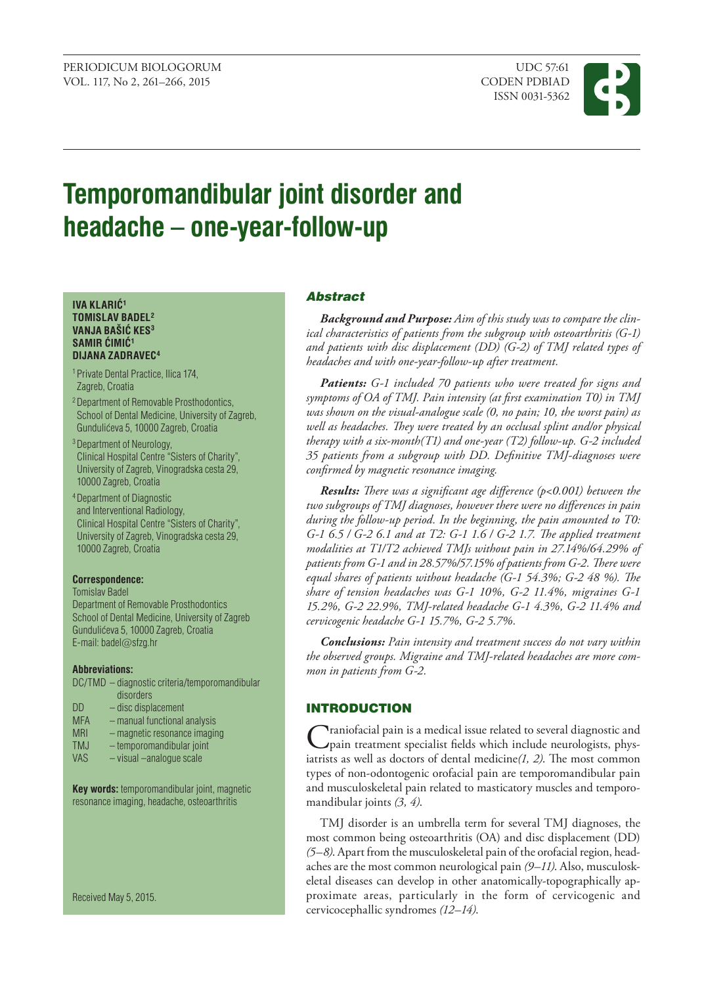

# **Temporomandibular joint disorder and headache – one-year-follow-up**

#### **IVA KLARIĆ<sup>1</sup> TOMISLAV BADEL2 VANJA BAŠIĆ KES<sup>3</sup> SAMIR ĆIMIĆ<sup>1</sup> DIJANA ZADRAVEC4**

- 1 Private Dental Practice, Ilica 174, Zagreb, Croatia
- 2 Department of Removable Prosthodontics, School of Dental Medicine, University of Zagreb, Gunduli}eva 5, 10000 Zagreb, Croatia
- <sup>3</sup> Department of Neurology, Clinical Hospital Centre "Sisters of Charity", University of Zagreb, Vinogradska cesta 29, 10000 Zagreb, Croatia
- 4 Department of Diagnostic and Interventional Radiology, Clinical Hospital Centre "Sisters of Charity", University of Zagreb, Vinogradska cesta 29, 10000 Zagreb, Croatia

## **Correspondence:**

Tomislav Badel

Department of Removable Prosthodontics School of Dental Medicine, University of Zagreb Gundulićeva 5, 10000 Zagreb, Croatia E-mail: badel@[sfzg.hr](mailto:badel@sfzg.hr)

#### **Abbreviations:**

- DC/TMD diagnostic criteria/temporomandibular disorders
- DD disc displacement
- MFA manual functional analysis
- MRI magnetic resonance imaging
- TMJ temporomandibular joint
- VAS visual –analogue scale

**Key words:** temporomandibular joint, magnetic resonance imaging, headache, osteoarthritis

Received May 5, 2015.

## Abstract

*Background and purpose: Aim of this study was to compare the clinical characteristics of patients from the subgroup with osteoarthritis (G-1) and patients with disc displacement (DD) (G-2) of TMJ related types of headaches and with one-year-follow-up after treatment.*

*Patients: G-1 included 70 patients who were treated for signs and symptoms of OA of TMJ. Pain intensity (at first examination T0) in TMJ was shown on the visual-analogue scale (0, no pain; 10, the worst pain) as well as headaches. They were treated by an occlusal splint and/or physical therapy with a six-month(T1) and one-year (T2) follow-up. G-2 included 35 patients from a subgroup with DD. Definitive TMJ-diagnoses were confirmed by magnetic resonance imaging.* 

*Results: There was a significant age difference (p<0.001) between the two subgroups of TMJ diagnoses, however there were no differences in pain during the follow-up period. In the beginning, the pain amounted to T0: G-1 6.5 / G-2 6.1 and at T2: G-1 1.6 / G-2 1.7. The applied treatment modalities at T1/T2 achieved TMJs without pain in 27.14%/64.29% of patients from G-1 and in 28.57%/57.15% of patients from G-2. There were equal shares of patients without headache (G-1 54.3%; G-2 48 %). The share of tension headaches was G-1 10%, G-2 11.4%, migraines G-1 15.2%, G-2 22.9%, TMJ-related headache G-1 4.3%, G-2 11.4% and cervicogenic headache G-1 15.7%, G-2 5.7%.* 

*Conclusions: Pain intensity and treatment success do not vary within the observed groups. Migraine and TMJ-related headaches are more common in patients from G-2.*

# INTRODUCTION

**Traniofacial pain is a medical issue related to several diagnostic and** pain treatment specialist fields which include neurologists, physiatrists as well as doctors of dental medicine*(1, 2)*. The most common types of non-odontogenic orofacial pain are temporomandibular pain and musculoskeletal pain related to masticatory muscles and temporomandibular joints *(3, 4)*.

TMJ disorder is an umbrella term for several TMJ diagnoses, the most common being osteoarthritis (OA) and disc displacement (DD) *(5–8)*. Apart from the musculoskeletal pain of the orofacial region, headaches are the most common neurological pain *(9–11)*. Also, musculoskeletal diseases can develop in other anatomically-topographically approximate areas, particularly in the form of cervicogenic and cervicocephallic syndromes *(12–14)*.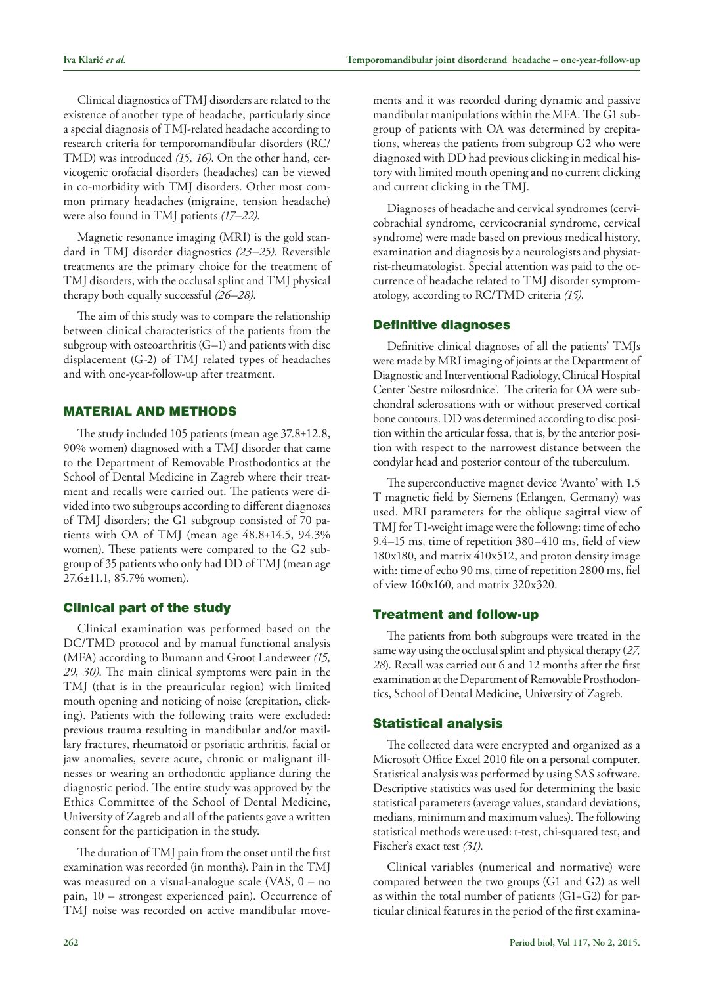Clinical diagnostics of TMJ disorders are related to the existence of another type of headache, particularly since a special diagnosis of TMJ-related headache according to research criteria for temporomandibular disorders (RC/ TMD) was introduced *(15, 16)*. On the other hand, cervicogenic orofacial disorders (headaches) can be viewed in co-morbidity with TMJ disorders. Other most common primary headaches (migraine, tension headache) were also found in TMJ patients *(17–22)*.

Magnetic resonance imaging (MRI) is the gold standard in TMJ disorder diagnostics *(23–25)*. Reversible treatments are the primary choice for the treatment of TMJ disorders, with the occlusal splint and TMJ physical therapy both equally successful *(26–28)*.

The aim of this study was to compare the relationship between clinical characteristics of the patients from the subgroup with osteoarthritis (G–1) and patients with disc displacement (G-2) of TMJ related types of headaches and with one-year-follow-up after treatment.

# MATERIAL AND METHODS

The study included 105 patients (mean age 37.8±12.8, 90% women) diagnosed with a TMJ disorder that came to the Department of Removable Prosthodontics at the School of Dental Medicine in Zagreb where their treatment and recalls were carried out. The patients were divided into two subgroups according to different diagnoses of TMJ disorders; the G1 subgroup consisted of 70 patients with OA of TMJ (mean age 48.8±14.5, 94.3% women). These patients were compared to the G2 subgroup of 35 patients who only had DD of TMJ (mean age 27.6±11.1, 85.7% women).

## Clinical part of the study

Clinical examination was performed based on the DC/TMD protocol and by manual functional analysis (MFA) according to Bumann and Groot Landeweer *(15, 29, 30)*. The main clinical symptoms were pain in the TMJ (that is in the preauricular region) with limited mouth opening and noticing of noise (crepitation, clicking). Patients with the following traits were excluded: previous trauma resulting in mandibular and/or maxillary fractures, rheumatoid or psoriatic arthritis, facial or jaw anomalies, severe acute, chronic or malignant illnesses or wearing an orthodontic appliance during the diagnostic period. The entire study was approved by the Ethics Committee of the School of Dental Medicine, University of Zagreb and all of the patients gave a written consent for the participation in the study.

The duration of TMJ pain from the onset until the first examination was recorded (in months). Pain in the TMJ was measured on a visual-analogue scale (VAS, 0 – no pain, 10 – strongest experienced pain). Occurrence of TMJ noise was recorded on active mandibular movements and it was recorded during dynamic and passive mandibular manipulations within the MFA. The G1 subgroup of patients with OA was determined by crepitations, whereas the patients from subgroup G2 who were diagnosed with DD had previous clicking in medical history with limited mouth opening and no current clicking and current clicking in the TMJ.

Diagnoses of headache and cervical syndromes (cervicobrachial syndrome, cervicocranial syndrome, cervical syndrome) were made based on previous medical history, examination and diagnosis by a neurologists and physiatrist-rheumatologist. Special attention was paid to the occurrence of headache related to TMJ disorder symptomatology, according to RC/TMD criteria *(15)*.

## Definitive diagnoses

Definitive clinical diagnoses of all the patients' TMJs were made by MRI imaging of joints at the Department of Diagnostic and Interventional Radiology, Clinical Hospital Center 'Sestre milosrdnice'. The criteria for OA were subchondral sclerosations with or without preserved cortical bone contours. DD was determined according to disc position within the articular fossa, that is, by the anterior position with respect to the narrowest distance between the condylar head and posterior contour of the tuberculum.

The superconductive magnet device 'Avanto' with 1.5 T magnetic field by Siemens (Erlangen, Germany) was used. MRI parameters for the oblique sagittal view of TMJ for T1-weight image were the followng: time of echo 9.4–15 ms, time of repetition 380–410 ms, field of view 180x180, and matrix 410x512, and proton density image with: time of echo 90 ms, time of repetition 2800 ms, fiel of view 160x160, and matrix 320x320.

# Treatment and follow-up

The patients from both subgroups were treated in the same way using the occlusal splint and physical therapy (*27, 28*). Recall was carried out 6 and 12 months after the first examination at the Department of Removable Prosthodontics, School of Dental Medicine, University of Zagreb.

## Statistical analysis

The collected data were encrypted and organized as a Microsoft Office Excel 2010 file on a personal computer. Statistical analysis was performed by using SAS software. Descriptive statistics was used for determining the basic statistical parameters (average values, standard deviations, medians, minimum and maximum values). The following statistical methods were used: t-test, chi-squared test, and Fischer's exact test *(31)*.

Clinical variables (numerical and normative) were compared between the two groups (G1 and G2) as well as within the total number of patients (G1+G2) for particular clinical features in the period of the first examina-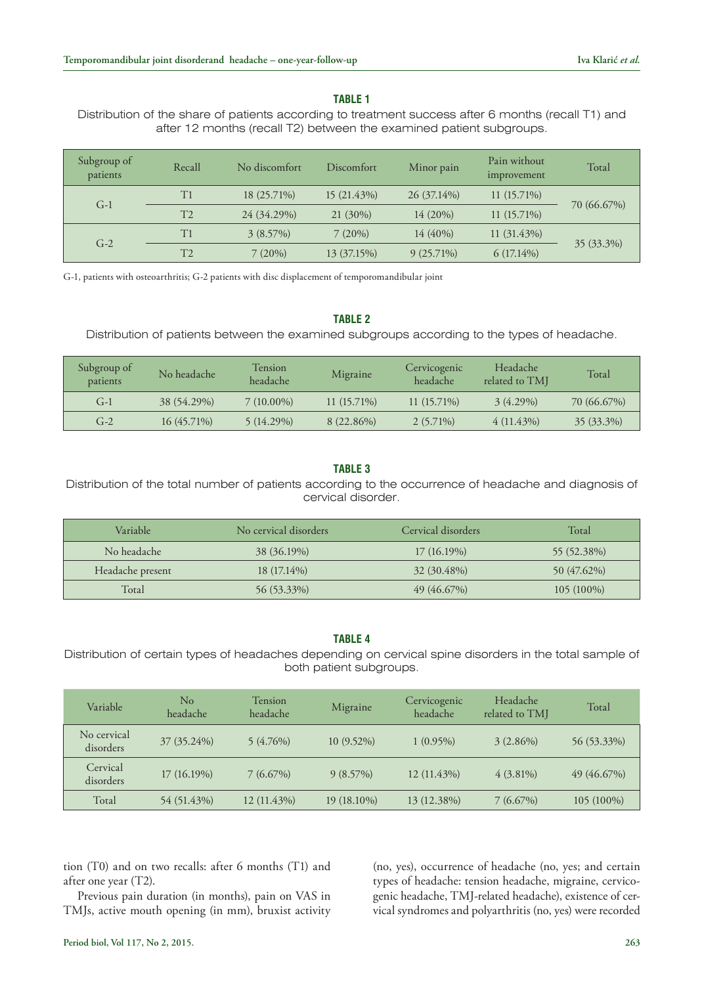# **TABLE 1**

Distribution of the share of patients according to treatment success after 6 months (recall T1) and after 12 months (recall T2) between the examined patient subgroups.

| Subgroup of<br>patients | Recall         | No discomfort | Discomfort  | Minor pain   | Pain without<br>improvement | Total       |  |
|-------------------------|----------------|---------------|-------------|--------------|-----------------------------|-------------|--|
| $G-1$                   | T1             | 18 (25.71%)   | 15 (21.43%) | 26 (37.14%)  | $11(15.71\%)$               |             |  |
|                         | T <sub>2</sub> | 24 (34.29%)   | $21(30\%)$  | $14(20\%)$   | $11(15.71\%)$               | 70 (66.67%) |  |
| $G-2$                   | T1             | $3(8.57\%)$   | $7(20\%)$   | 14 (40%)     | $11(31.43\%)$               |             |  |
|                         | T2             | 7(20%)        | 13 (37.15%) | $9(25.71\%)$ | $6(17.14\%)$                | 35 (33.3%)  |  |

G-1, patients with osteoarthritis; G-2 patients with disc displacement of temporomandibular joint

## **TABLE 2**

Distribution of patients between the examined subgroups according to the types of headache.

| Subgroup of<br>patients | No headache   | <b>Tension</b><br>headache | Migraine      | Cervicogenic<br>headache | Headache<br>related to TMI | Total        |
|-------------------------|---------------|----------------------------|---------------|--------------------------|----------------------------|--------------|
| $G-1$                   | 38 (54.29%)   | $7(10.00\%)$               | $11(15.71\%)$ | $11(15.71\%)$            | $3(4.29\%)$                | 70 (66.67%)  |
| $G-2$                   | $16(45.71\%)$ | $5(14.29\%)$               | 8 (22.86%)    | $2(5.71\%)$              | $4(11.43\%)$               | $35(33.3\%)$ |

## **TABLE 3**

Distribution of the total number of patients according to the occurrence of headache and diagnosis of cervical disorder.

| Variable         | No cervical disorders | Cervical disorders | Total        |
|------------------|-----------------------|--------------------|--------------|
| No headache      | 38 (36.19%)           | $17(16.19\%)$      | 55 (52.38%)  |
| Headache present | 18 (17.14%)           | 32 (30.48%)        | 50 (47.62%)  |
| Total            | 56 (53.33%)           | 49 (46.67%)        | $105(100\%)$ |

## **TABLE 4**

Distribution of certain types of headaches depending on cervical spine disorders in the total sample of both patient subgroups.

| Variable                 | $\rm No$<br>headache | <b>Tension</b><br>headache | Migraine     | Cervicogenic<br>headache | Headache<br>related to TMJ | Total       |
|--------------------------|----------------------|----------------------------|--------------|--------------------------|----------------------------|-------------|
| No cervical<br>disorders | 37 (35.24%)          | $5(4.76\%)$                | $10(9.52\%)$ | $1(0.95\%)$              | $3(2.86\%)$                | 56 (53.33%) |
| Cervical<br>disorders    | 17 (16.19%)          | $7(6.67\%)$                | $9(8.57\%)$  | 12 (11.43%)              | $4(3.81\%)$                | 49(46.67%)  |
| Total                    | 54 (51.43%)          | 12 (11.43%)                | 19 (18.10%)  | 13 (12.38%)              | $7(6.67\%)$                | 105 (100%)  |

tion (T0) and on two recalls: after 6 months (T1) and after one year (T2).

Previous pain duration (in months), pain on VAS in TMJs, active mouth opening (in mm), bruxist activity (no, yes), occurrence of headache (no, yes; and certain types of headache: tension headache, migraine, cervicogenic headache, TMJ-related headache), existence of cervical syndromes and polyarthritis (no, yes) were recorded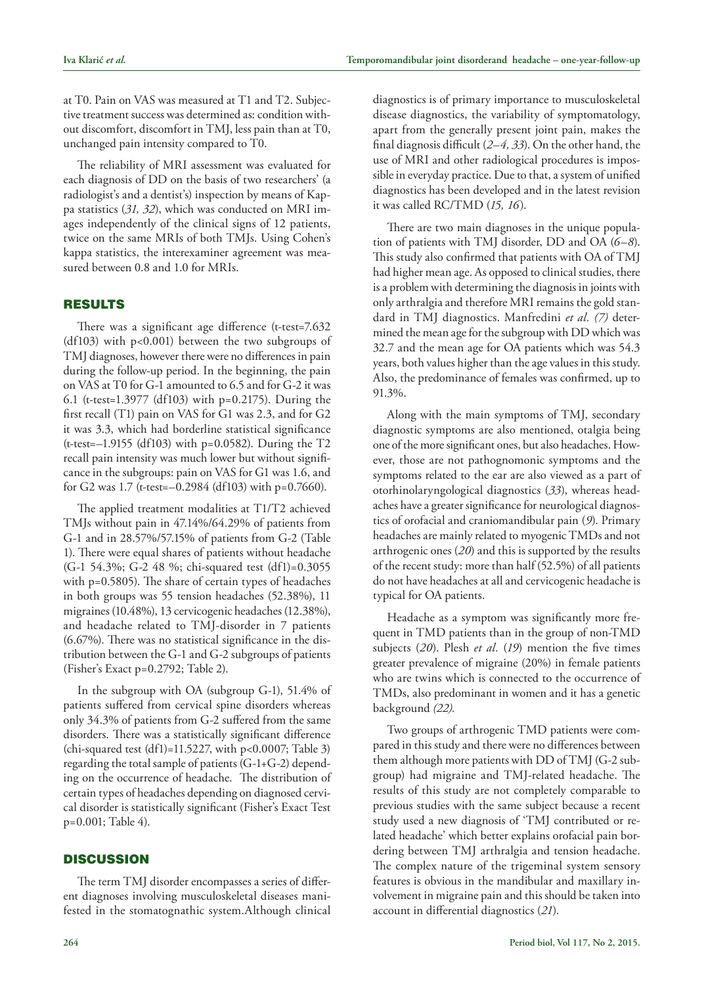at T0. Pain on VAS was measured at T1 and T2. Subjective treatment success was determined as: condition without discomfort, discomfort in TMJ, less pain than at T0, unchanged pain intensity compared to T0.

The reliability of MRI assessment was evaluated for each diagnosis of DD on the basis of two researchers' (a radiologist's and a dentist's) inspection by means of Kappa statistics (*31, 32*), which was conducted on MRI images independently of the clinical signs of 12 patients, twice on the same MRIs of both TMJs. Using Cohen's kappa statistics, the interexaminer agreement was measured between 0.8 and 1.0 for MRIs.

# RESULTS

There was a significant age difference (t-test=7.632 (df103) with p<0.001) between the two subgroups of TMJ diagnoses, however there were no differences in pain during the follow-up period. In the beginning, the pain on VAS at T0 for G-1 amounted to 6.5 and for G-2 it was 6.1 (t-test=1.3977 (df103) with p=0.2175). During the first recall (T1) pain on VAS for G1 was 2.3, and for G2 it was 3.3, which had borderline statistical significance  $(t-test=-1.9155$  (df103) with p=0.0582). During the T2 recall pain intensity was much lower but without significance in the subgroups: pain on VAS for G1 was 1.6, and for G2 was 1.7 (t-test=–0.2984 (df103) with p=0.7660).

The applied treatment modalities at T1/T2 achieved TMJs without pain in 47.14%/64.29% of patients from G-1 and in 28.57%/57.15% of patients from G-2 (Table 1). There were equal shares of patients without headache (G-1 54.3%; G-2 48 %; chi-squared test (df1)=0.3055 with p=0.5805). The share of certain types of headaches in both groups was 55 tension headaches (52.38%), 11 migraines (10.48%), 13 cervicogenic headaches (12.38%), and headache related to TMJ-disorder in 7 patients (6.67%). There was no statistical significance in the distribution between the G-1 and G-2 subgroups of patients (Fisher's Exact p=0.2792; Table 2).

In the subgroup with OA (subgroup G-1), 51.4% of patients suffered from cervical spine disorders whereas only 34.3% of patients from G-2 suffered from the same disorders. There was a statistically significant difference (chi-squared test (df1)=11.5227, with p<0.0007; Table 3) regarding the total sample of patients (G-1+G-2) depending on the occurrence of headache. The distribution of certain types of headaches depending on diagnosed cervical disorder is statistically significant (Fisher's Exact Test p=0.001; Table 4).

## **DISCUSSION**

The term TMJ disorder encompasses a series of different diagnoses involving musculoskeletal diseases manifested in the stomatognathic system.Although clinical diagnostics is of primary importance to musculoskeletal disease diagnostics, the variability of symptomatology, apart from the generally present joint pain, makes the final diagnosis difficult (*2–4, 33*). On the other hand, the use of MRI and other radiological procedures is impossible in everyday practice. Due to that, a system of unified diagnostics has been developed and in the latest revision it was called RC/TMD (*15, 16*).

There are two main diagnoses in the unique population of patients with TMJ disorder, DD and OA (*6–8*). This study also confirmed that patients with OA of TMJ had higher mean age. As opposed to clinical studies, there is a problem with determining the diagnosis in joints with only arthralgia and therefore MRI remains the gold standard in TMJ diagnostics. Manfredini *et al. (7)* determined the mean age for the subgroup with DD which was 32.7 and the mean age for OA patients which was 54.3 years, both values higher than the age values in this study. Also, the predominance of females was confirmed, up to 91.3%.

Along with the main symptoms of TMJ, secondary diagnostic symptoms are also mentioned, otalgia being one of the more significant ones, but also headaches. However, those are not pathognomonic symptoms and the symptoms related to the ear are also viewed as a part of otorhinolaryngological diagnostics (*33*), whereas headaches have a greater significance for neurological diagnostics of orofacial and craniomandibular pain (*9*). Primary headaches are mainly related to myogenic TMDs and not arthrogenic ones (*20*) and this is supported by the results of the recent study: more than half (52.5%) of all patients do not have headaches at all and cervicogenic headache is typical for OA patients.

Headache as a symptom was significantly more frequent in TMD patients than in the group of non-TMD subjects (*20*). Plesh *et al.* (*19*) mention the five times greater prevalence of migraine (20%) in female patients who are twins which is connected to the occurrence of TMDs, also predominant in women and it has a genetic background *(22).*

Two groups of arthrogenic TMD patients were compared in this study and there were no differences between them although more patients with DD of TMJ (G-2 subgroup) had migraine and TMJ-related headache. The results of this study are not completely comparable to previous studies with the same subject because a recent study used a new diagnosis of 'TMJ contributed or related headache' which better explains orofacial pain bordering between TMJ arthralgia and tension headache. The complex nature of the trigeminal system sensory features is obvious in the mandibular and maxillary involvement in migraine pain and this should be taken into account in differential diagnostics (*21*).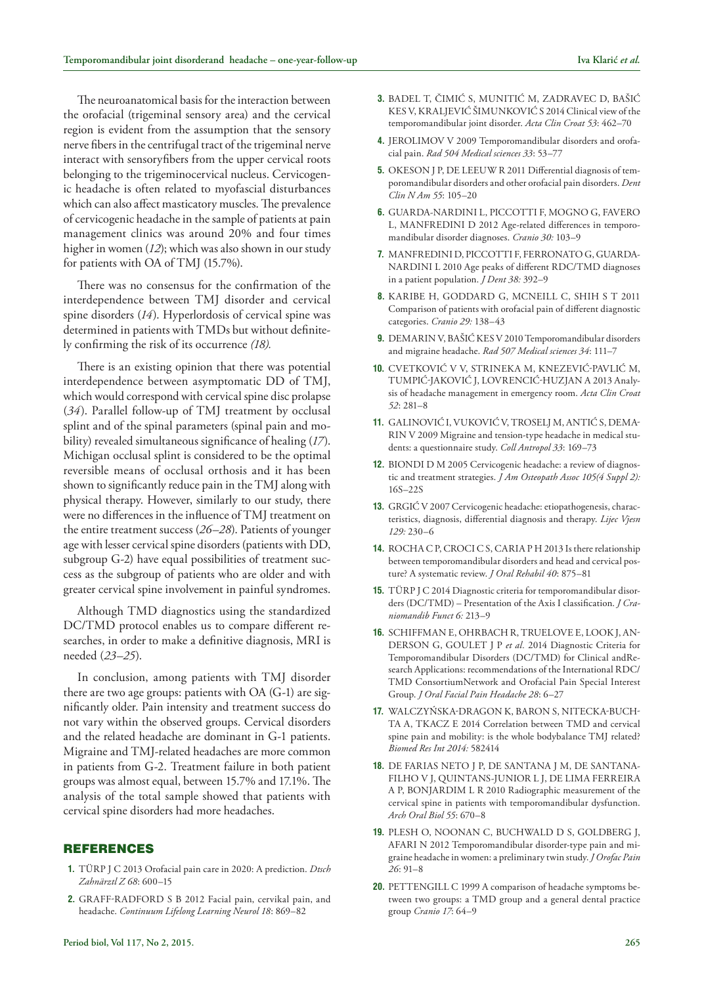The neuroanatomical basis for the interaction between the orofacial (trigeminal sensory area) and the cervical region is evident from the assumption that the sensory nerve fibers in the centrifugal tract of the trigeminal nerve interact with sensoryfibers from the upper cervical roots belonging to the trigeminocervical nucleus. Cervicogenic headache is often related to myofascial disturbances which can also affect masticatory muscles. The prevalence of cervicogenic headache in the sample of patients at pain management clinics was around 20% and four times higher in women (*12*); which was also shown in our study for patients with OA of TMJ (15.7%).

There was no consensus for the confirmation of the interdependence between TMJ disorder and cervical spine disorders (*14*). Hyperlordosis of cervical spine was determined in patients with TMDs but without definitely confirming the risk of its occurrence *(18).*

There is an existing opinion that there was potential interdependence between asymptomatic DD of TMJ, which would correspond with cervical spine disc prolapse (*34*). Parallel follow-up of TMJ treatment by occlusal splint and of the spinal parameters (spinal pain and mobility) revealed simultaneous significance of healing (*17*). Michigan occlusal splint is considered to be the optimal reversible means of occlusal orthosis and it has been shown to significantly reduce pain in the TMJ along with physical therapy. However, similarly to our study, there were no differences in the influence of TMJ treatment on the entire treatment success (*26–28*). Patients of younger age with lesser cervical spine disorders (patients with DD, subgroup G-2) have equal possibilities of treatment success as the subgroup of patients who are older and with greater cervical spine involvement in painful syndromes.

Although TMD diagnostics using the standardized DC/TMD protocol enables us to compare different researches, in order to make a definitive diagnosis, MRI is needed (*23–25*).

In conclusion, among patients with TMJ disorder there are two age groups: patients with OA (G-1) are significantly older. Pain intensity and treatment success do not vary within the observed groups. Cervical disorders and the related headache are dominant in G-1 patients. Migraine and TMJ-related headaches are more common in patients from G-2. Treatment failure in both patient groups was almost equal, between 15.7% and 17.1%. The analysis of the total sample showed that patients with cervical spine disorders had more headaches.

## REFERENCES

- **1.** TÜRP J C 2013 Orofacial pain care in 2020: A prediction. *Dtsch Zahnärztl Z 68*: 600–15
- **2.** Graff-Radford S B 2012 Facial pain, cervikal pain, and headache. *Continuum Lifelong Learning Neurol 18*: 869–82
- **3.** Badel T, Čimić S, Munitić M, Zadravec D, Bašić Kes V, Kraljević Šimunković S 2014 Clinical view of the temporomandibular joint disorder. *Acta Clin Croat 53*: 462–70
- **4.** JEROLIMOV V 2009 Temporomandibular disorders and orofacial pain. *Rad 504 Medical sciences 33*: 53–77
- **5.** OKESON J P, DE LEEUW R 2011 Differential diagnosis of temporomandibular disorders and other orofacial pain disorders. *Dent Clin N Am 55*: 105–20
- **6.** GUARDA-NARDINI L, PICCOTTI F, MOGNO G, FAVERO L, MANFREDINI D 2012 Age-related differences in temporomandibular disorder diagnoses. *Cranio 30:* 103–9
- **7.** MANFREDINI D, PICCOTTI F, FERRONATO G, GUARDA-NARDINI L 2010 Age peaks of different RDC/TMD diagnoses in a patient population. *J Dent 38:* 392–9
- **8.** KARIBE H, GODDARD G, MCNEILL C, SHIH S T 2011 Comparison of patients with orofacial pain of different diagnostic categories. *Cranio 29:* 138–43
- 9. DEMARIN V, BAŠIĆ KES V 2010 Temporomandibular disorders and migraine headache. *Rad 507 Medical sciences 34*: 111–7
- **10.** Cvetković V V, Strineka M, Knezević-Pavlić M, Tumpić-Jaković J, Lovrencić-Huzjan A 2013 Analysis of headache management in emergency room. *Acta Clin Croat 52*: 281–8
- **11.** Galinović I, Vuković V, Troselj M, Antić S, Dema-RIN V 2009 Migraine and tension-type headache in medical students: a questionnaire study. *Coll Antropol 33*: 169–73
- **12.** BIONDI D M 2005 Cervicogenic headache: a review of diagnostic and treatment strategies. *J Am Osteopath Assoc 105(4 Suppl 2):* 16S–22S
- **13.** GRGIĆ V 2007 Cervicogenic headache: etiopathogenesis, characteristics, diagnosis, differential diagnosis and therapy. *Lijec Vjesn 129:* 230–6
- **14.** ROCHA C P, CROCI C S, CARIA P H 2013 Is there relationship between temporomandibular disorders and head and cervical posture? A systematic review. *J Oral Rehabil 40*: 875–81
- **15.** TÜRP J C 2014 Diagnostic criteria for temporomandibular disorders (DC/TMD) – Presentation of the Axis I classification. *J Craniomandib Funct 6:* 213–9
- **16.** Schiffman E, Ohrbach R, Truelove E, Look J, An-DERSON G, GOULET J P et al. 2014 Diagnostic Criteria for Temporomandibular Disorders (DC/TMD) for Clinical andResearch Applications: recommendations of the International RDC/ TMD ConsortiumNetwork and Orofacial Pain Special Interest Group. *J Oral Facial Pain Headache 28*: 6–27
- **17.** Walczyńska-Dragon K, Baron S, Nitecka-Buch-TA A, TKACZ E 2014 Correlation between TMD and cervical spine pain and mobility: is the whole bodybalance TMJ related? *Biomed Res Int 2014:* 582414
- **18.** DE FARIAS NETO J P, DE SANTANA J M, DE SANTANA-FILHO V J, QUINTANS-JUNIOR L J, DE LIMA FERREIRA A P, BONJARDIM L R 2010 Radiographic measurement of the cervical spine in patients with temporomandibular dysfunction. *Arch Oral Biol 55*: 670–8
- **19.** Plesh O, Noonan C, Buchwald D S, Goldberg J, AFARI N 2012 Temporomandibular disorder-type pain and migraine headache in women: a preliminary twin study. *J Orofac Pain 26*: 91–8
- 20. PETTENGILL C 1999 A comparison of headache symptoms between two groups: a TMD group and a general dental practice group *Cranio 17*: 64–9